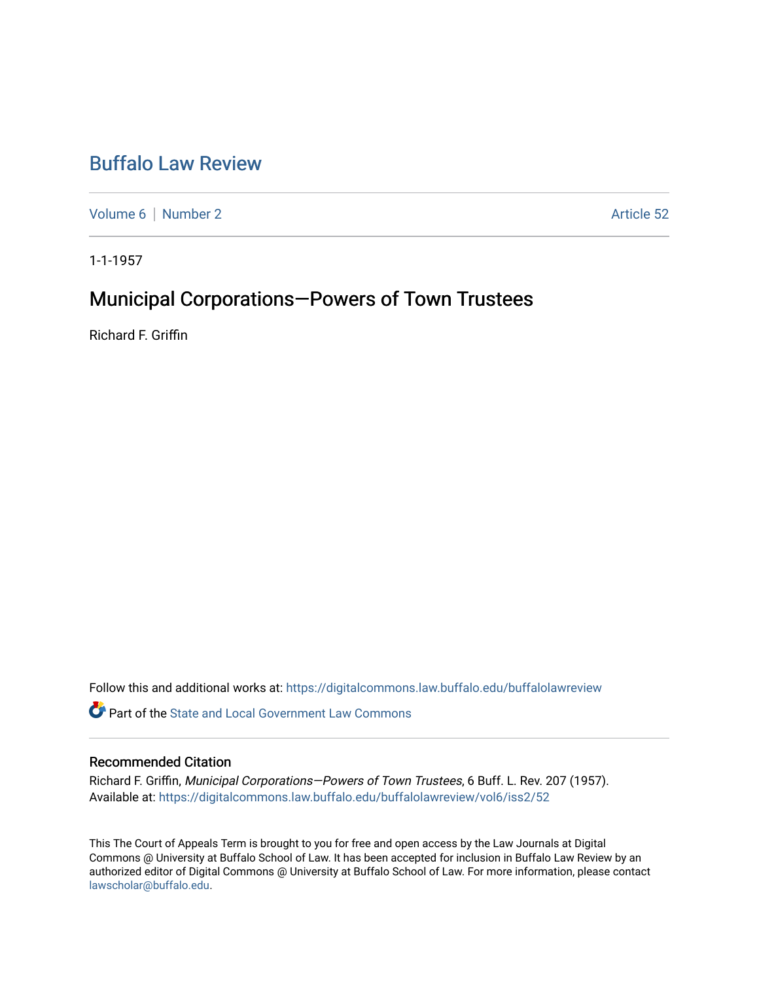## [Buffalo Law Review](https://digitalcommons.law.buffalo.edu/buffalolawreview)

[Volume 6](https://digitalcommons.law.buffalo.edu/buffalolawreview/vol6) | [Number 2](https://digitalcommons.law.buffalo.edu/buffalolawreview/vol6/iss2) Article 52

1-1-1957

# Municipal Corporations—Powers of Town Trustees

Richard F. Griffin

Follow this and additional works at: [https://digitalcommons.law.buffalo.edu/buffalolawreview](https://digitalcommons.law.buffalo.edu/buffalolawreview?utm_source=digitalcommons.law.buffalo.edu%2Fbuffalolawreview%2Fvol6%2Fiss2%2F52&utm_medium=PDF&utm_campaign=PDFCoverPages) 

**C** Part of the [State and Local Government Law Commons](http://network.bepress.com/hgg/discipline/879?utm_source=digitalcommons.law.buffalo.edu%2Fbuffalolawreview%2Fvol6%2Fiss2%2F52&utm_medium=PDF&utm_campaign=PDFCoverPages)

### Recommended Citation

Richard F. Griffin, Municipal Corporations—Powers of Town Trustees, 6 Buff. L. Rev. 207 (1957). Available at: [https://digitalcommons.law.buffalo.edu/buffalolawreview/vol6/iss2/52](https://digitalcommons.law.buffalo.edu/buffalolawreview/vol6/iss2/52?utm_source=digitalcommons.law.buffalo.edu%2Fbuffalolawreview%2Fvol6%2Fiss2%2F52&utm_medium=PDF&utm_campaign=PDFCoverPages) 

This The Court of Appeals Term is brought to you for free and open access by the Law Journals at Digital Commons @ University at Buffalo School of Law. It has been accepted for inclusion in Buffalo Law Review by an authorized editor of Digital Commons @ University at Buffalo School of Law. For more information, please contact [lawscholar@buffalo.edu](mailto:lawscholar@buffalo.edu).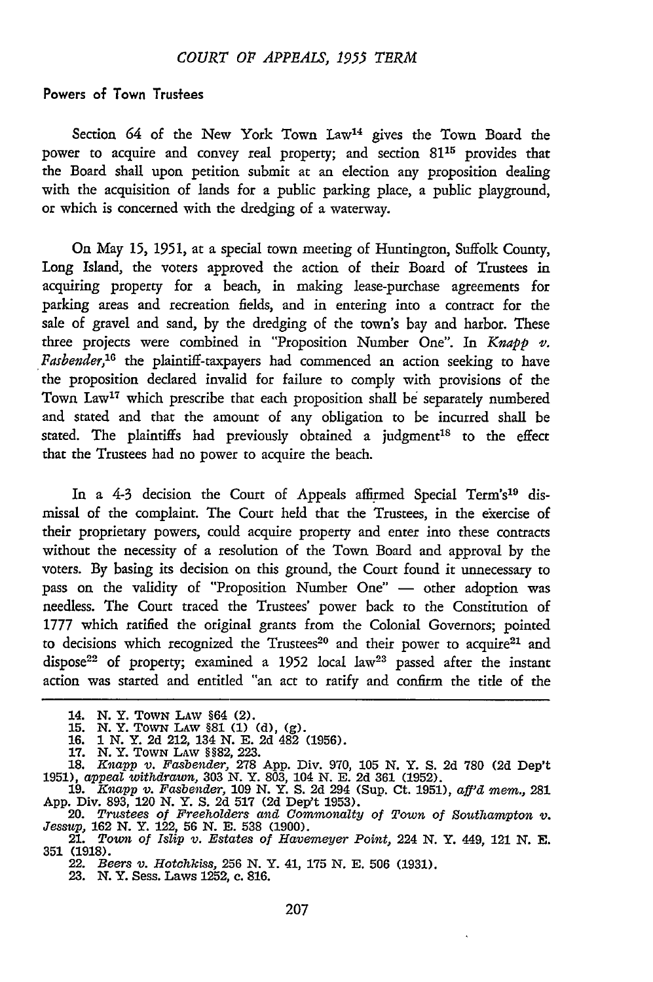#### Powers of Town Trustees

Section 64 of the New York Town Law<sup>14</sup> gives the Town Board the power to acquire and convey real property; and section **8115** provides that the Board shall upon petition submit at an election any proposition dealing with the acquisition of lands for a public parking place, a public playground, or which is concerned with the dredging of a waterway.

On May **15, 1951,** at a special town meeting of Huntington, Suffolk County, Long Island, the voters approved the action of their Board of Trustees in acquiring property for a beach, in making lease-purchase agreements for parking areas and recteation fields, and in entering into a contract for the sale of gravel and sand, by the dredging of the town's bay and harbor. These three projects were combined in "Proposition Number One". In *Knapp v. Fasbender,'6* the plaintiff-taxpayers had commenced an action seeking to have the proposition declared invalid for failure to comply with provisions of the Town Law<sup>17</sup> which prescribe that each proposition shall be separately numbered and stated and that the amount of any obligation to be incurred shall be stated. The plaintiffs had previously obtained a judgment<sup>18</sup> to the effect that the Trustees had no power to acquire the beach.

In a 4-3 decision the Court of Appeals affirmed Special Term's<sup>19</sup> dismissal of the complaint. The Court held that the Trustees, in the ekercise of their proprietary powers, could acquire property and enter into these contracts without the necessity of a resolution of the Town Board and approval by the voters. By basing its decision on this ground, the Court found it unnecessary to pass on the validity of "Proposition Number One" - other adoption was needless. The Court traced the Trustees' power back to the Constitution of 1777 which ratified the original grants from the Colonial Governors; pointed to decisions which recognized the Trustees<sup>20</sup> and their power to acquire<sup>21</sup> and dispose<sup>22</sup> of property; examined a 1952 local law<sup>23</sup> passed after the instant action was started and entided "an act to ratify and confirm the title of the

**17.** N. Y. TOWN LAW §§82, **223.** 18. *Knapp v. Fasbender,* 278 App. Div. 970, **105** N. Y. S. 2d 780 **(2d** Dep't 1951), *appeal withdrawn,* 303 N. Y. 803, 104 N. E. 2d 361 (1952). 19. *Knapp v. Fasbender,* 109 N. Y. S. 2d 294 (Sup. Ct. 1951), *aff'd rnem.,* 281

App. Div. 893, 120 N. Y. S. 2d 517 (2d Dep't 1953). *20. Trustees of Freeholders and Commonalty of Town of Southampton v. Jessup,* **162** N. Y. 122, 56 N. **E.** 538 (1900).

<sup>14.</sup> N. Y. TOWN LAW §64 (2). 15. N. Y. TOWN LAW §81 **(1)** (d), **(g). 16. 1 N.** Y. **2d** 212, 134 **N. E. 2d** 482 **(1956).**

<sup>21.</sup> *Town of Islip v. Estates of Havemeyer Point,* 224 N. Y. 449, 121 N. E.

<sup>21.</sup> Town of Islip v. Estates of Havemeyer Point, 224 N.Y. 449, 121 N.E.<br>351 (1918). 22. *Beers v. Hotchkiss,* 256 N. Y. 41, 175 **N.** E. 506 (1931).

<sup>23.</sup> N. Y. Sess. Laws 1252, c. 816.